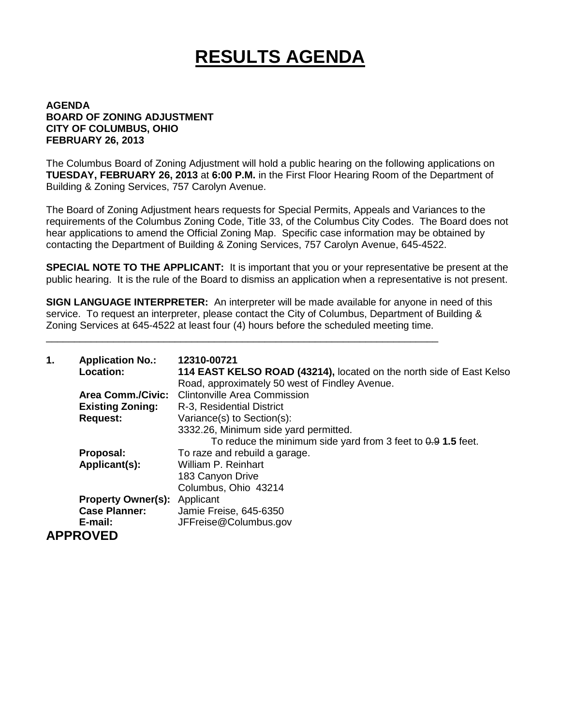## **RESULTS AGENDA**

## **AGENDA BOARD OF ZONING ADJUSTMENT CITY OF COLUMBUS, OHIO FEBRUARY 26, 2013**

The Columbus Board of Zoning Adjustment will hold a public hearing on the following applications on **TUESDAY, FEBRUARY 26, 2013** at **6:00 P.M.** in the First Floor Hearing Room of the Department of Building & Zoning Services, 757 Carolyn Avenue.

The Board of Zoning Adjustment hears requests for Special Permits, Appeals and Variances to the requirements of the Columbus Zoning Code, Title 33, of the Columbus City Codes. The Board does not hear applications to amend the Official Zoning Map. Specific case information may be obtained by contacting the Department of Building & Zoning Services, 757 Carolyn Avenue, 645-4522.

**SPECIAL NOTE TO THE APPLICANT:** It is important that you or your representative be present at the public hearing. It is the rule of the Board to dismiss an application when a representative is not present.

**SIGN LANGUAGE INTERPRETER:** An interpreter will be made available for anyone in need of this service. To request an interpreter, please contact the City of Columbus, Department of Building & Zoning Services at 645-4522 at least four (4) hours before the scheduled meeting time.

\_\_\_\_\_\_\_\_\_\_\_\_\_\_\_\_\_\_\_\_\_\_\_\_\_\_\_\_\_\_\_\_\_\_\_\_\_\_\_\_\_\_\_\_\_\_\_\_\_\_\_\_\_\_\_\_\_\_\_\_\_\_\_\_\_\_\_\_\_\_

| 1. | <b>Application No.:</b><br>Location: | 12310-00721<br>114 EAST KELSO ROAD (43214), located on the north side of East Kelso<br>Road, approximately 50 west of Findley Avenue. |
|----|--------------------------------------|---------------------------------------------------------------------------------------------------------------------------------------|
|    | <b>Area Comm./Civic:</b>             | <b>Clintonville Area Commission</b>                                                                                                   |
|    | <b>Existing Zoning:</b>              | R-3, Residential District                                                                                                             |
|    | <b>Request:</b>                      | Variance(s) to Section(s):                                                                                                            |
|    |                                      | 3332.26, Minimum side yard permitted.                                                                                                 |
|    |                                      | To reduce the minimum side yard from 3 feet to $0.9$ 1.5 feet.                                                                        |
|    | Proposal:                            | To raze and rebuild a garage.                                                                                                         |
|    | Applicant(s):                        | William P. Reinhart                                                                                                                   |
|    |                                      | 183 Canyon Drive                                                                                                                      |
|    |                                      | Columbus, Ohio 43214                                                                                                                  |
|    | <b>Property Owner(s):</b>            | Applicant                                                                                                                             |
|    | <b>Case Planner:</b>                 | Jamie Freise, 645-6350                                                                                                                |
|    | E-mail:                              | JFFreise@Columbus.gov                                                                                                                 |
|    | <b>APPROVED</b>                      |                                                                                                                                       |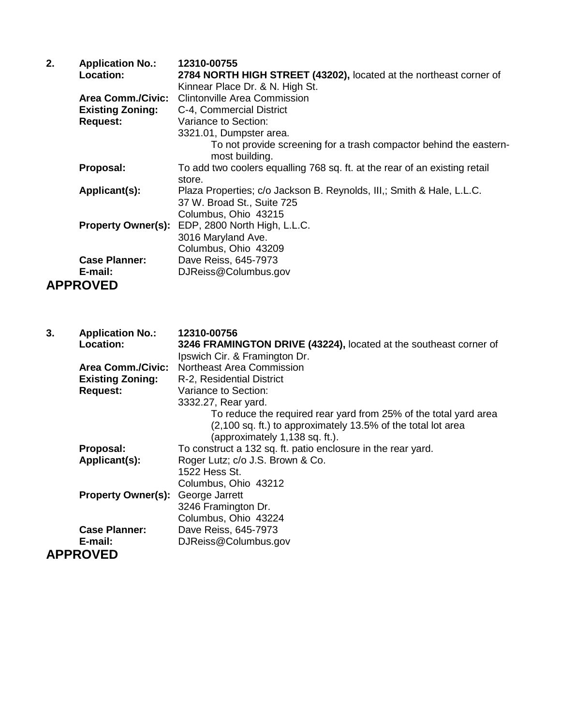| 2. | <b>Application No.:</b>   | 12310-00755                                                                                         |
|----|---------------------------|-----------------------------------------------------------------------------------------------------|
|    | Location:                 | 2784 NORTH HIGH STREET (43202), located at the northeast corner of                                  |
|    |                           | Kinnear Place Dr. & N. High St.                                                                     |
|    | <b>Area Comm./Civic:</b>  | <b>Clintonville Area Commission</b>                                                                 |
|    | <b>Existing Zoning:</b>   | C-4, Commercial District                                                                            |
|    | <b>Request:</b>           | Variance to Section:                                                                                |
|    |                           | 3321.01, Dumpster area.                                                                             |
|    |                           | To not provide screening for a trash compactor behind the eastern-<br>most building.                |
|    | Proposal:                 | To add two coolers equalling 768 sq. ft. at the rear of an existing retail<br>store.                |
|    | Applicant(s):             | Plaza Properties; c/o Jackson B. Reynolds, III,; Smith & Hale, L.L.C.<br>37 W. Broad St., Suite 725 |
|    |                           | Columbus, Ohio 43215                                                                                |
|    | <b>Property Owner(s):</b> | EDP, 2800 North High, L.L.C.                                                                        |
|    |                           | 3016 Maryland Ave.                                                                                  |
|    |                           | Columbus, Ohio 43209                                                                                |
|    | <b>Case Planner:</b>      | Dave Reiss, 645-7973                                                                                |
|    | E-mail:                   | DJReiss@Columbus.gov                                                                                |
|    | <b>APPROVED</b>           |                                                                                                     |

| 3. | <b>Application No.:</b>   | 12310-00756                                                       |
|----|---------------------------|-------------------------------------------------------------------|
|    | <b>Location:</b>          | 3246 FRAMINGTON DRIVE (43224), located at the southeast corner of |
|    |                           | Ipswich Cir. & Framington Dr.                                     |
|    | <b>Area Comm./Civic:</b>  | Northeast Area Commission                                         |
|    | <b>Existing Zoning:</b>   | R-2, Residential District                                         |
|    | <b>Request:</b>           | Variance to Section:                                              |
|    |                           | 3332.27, Rear yard.                                               |
|    |                           | To reduce the required rear yard from 25% of the total yard area  |
|    |                           | (2,100 sq. ft.) to approximately 13.5% of the total lot area      |
|    |                           | (approximately 1,138 sq. ft.).                                    |
|    | Proposal:                 | To construct a 132 sq. ft. patio enclosure in the rear yard.      |
|    | Applicant(s):             | Roger Lutz; c/o J.S. Brown & Co.                                  |
|    |                           | 1522 Hess St.                                                     |
|    |                           | Columbus, Ohio 43212                                              |
|    | <b>Property Owner(s):</b> | George Jarrett                                                    |
|    |                           | 3246 Framington Dr.                                               |
|    |                           | Columbus, Ohio 43224                                              |
|    | <b>Case Planner:</b>      | Dave Reiss, 645-7973                                              |
|    | E-mail:                   | DJReiss@Columbus.gov                                              |
|    | <b>APPROVED</b>           |                                                                   |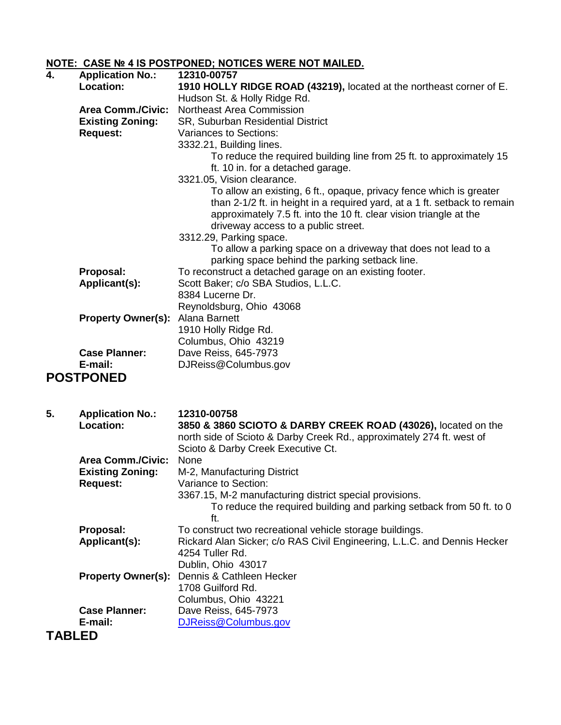## **NOTE: CASE № 4 IS POSTPONED; NOTICES WERE NOT MAILED.**

| 4. | <b>Application No.:</b>   | 12310-00757                                                               |
|----|---------------------------|---------------------------------------------------------------------------|
|    | Location:                 | 1910 HOLLY RIDGE ROAD (43219), located at the northeast corner of E.      |
|    |                           | Hudson St. & Holly Ridge Rd.                                              |
|    | <b>Area Comm./Civic:</b>  | Northeast Area Commission                                                 |
|    | <b>Existing Zoning:</b>   | SR, Suburban Residential District                                         |
|    | <b>Request:</b>           | Variances to Sections:                                                    |
|    |                           | 3332.21, Building lines.                                                  |
|    |                           | To reduce the required building line from 25 ft. to approximately 15      |
|    |                           | ft. 10 in. for a detached garage.                                         |
|    |                           | 3321.05, Vision clearance.                                                |
|    |                           | To allow an existing, 6 ft., opaque, privacy fence which is greater       |
|    |                           | than 2-1/2 ft. in height in a required yard, at a 1 ft. setback to remain |
|    |                           | approximately 7.5 ft. into the 10 ft. clear vision triangle at the        |
|    |                           | driveway access to a public street.                                       |
|    |                           | 3312.29, Parking space.                                                   |
|    |                           | To allow a parking space on a driveway that does not lead to a            |
|    |                           | parking space behind the parking setback line.                            |
|    | Proposal:                 | To reconstruct a detached garage on an existing footer.                   |
|    | Applicant(s):             | Scott Baker; c/o SBA Studios, L.L.C.                                      |
|    |                           | 8384 Lucerne Dr.                                                          |
|    |                           | Reynoldsburg, Ohio 43068                                                  |
|    | <b>Property Owner(s):</b> | Alana Barnett                                                             |
|    |                           | 1910 Holly Ridge Rd.                                                      |
|    |                           | Columbus, Ohio 43219                                                      |
|    | <b>Case Planner:</b>      | Dave Reiss, 645-7973                                                      |
|    | E-mail:                   | DJReiss@Columbus.gov                                                      |
|    | <b>POSTPONED</b>          |                                                                           |
|    |                           |                                                                           |
| 5. | <b>Application No.:</b>   | 12310-00758                                                               |

| o.            | <b>Application No.:</b>   | 12310-00738                                                              |
|---------------|---------------------------|--------------------------------------------------------------------------|
|               | <b>Location:</b>          | 3850 & 3860 SCIOTO & DARBY CREEK ROAD (43026), located on the            |
|               |                           | north side of Scioto & Darby Creek Rd., approximately 274 ft. west of    |
|               |                           | Scioto & Darby Creek Executive Ct.                                       |
|               | <b>Area Comm./Civic:</b>  | None                                                                     |
|               | <b>Existing Zoning:</b>   | M-2, Manufacturing District                                              |
|               |                           | Variance to Section:                                                     |
|               | <b>Request:</b>           |                                                                          |
|               |                           | 3367.15, M-2 manufacturing district special provisions.                  |
|               |                           | To reduce the required building and parking setback from 50 ft. to 0     |
|               |                           | ft.                                                                      |
|               | Proposal:                 | To construct two recreational vehicle storage buildings.                 |
|               | Applicant(s):             | Rickard Alan Sicker; c/o RAS Civil Engineering, L.L.C. and Dennis Hecker |
|               |                           | 4254 Tuller Rd.                                                          |
|               |                           | Dublin, Ohio 43017                                                       |
|               | <b>Property Owner(s):</b> | Dennis & Cathleen Hecker                                                 |
|               |                           | 1708 Guilford Rd.                                                        |
|               |                           | Columbus, Ohio 43221                                                     |
|               | <b>Case Planner:</b>      | Dave Reiss, 645-7973                                                     |
|               | E-mail:                   | DJReiss@Columbus.gov                                                     |
| <b>TABLED</b> |                           |                                                                          |
|               |                           |                                                                          |